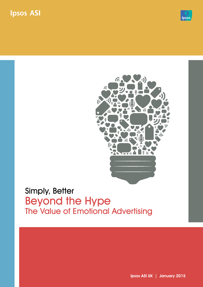



## Simply, Better Beyond the Hype The Value of Emotional Advertising

Ipsos ASI UK | January 2015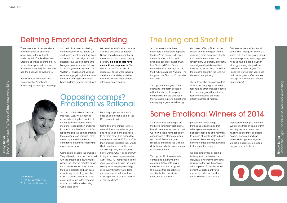# Defining Emotional Advertising The Long and Short of It

Simply, Better<br>Beyond the Hype: The Value of Emotional Advertising Beyond the Hype: The Value of Emotional Advertising Simply, Better



There was a lot of debate about the importance of emotional advertising in the zeitgeistfuelled world of adland last year. Creative agencies searched for it, some clients yearned for it, and researchers naturally felt that they had the best way to evaluate it.

But we should remember that the concept of 'emotional advertising' has multiple meanings

and definitions in our marketing communication world. Before you start asking whether you truly have an 'emotional' campaign, you will possibly save yourself some time by agreeing what you are talking about. Do you mean 'system 1' or 'system 2', engagement, valence, resonance, physiological reactions, emotional priming or emotional brand building, or all of the above?

We consider all of these concepts when we evaluate a campaign. But we should remember that an emotional ad isn't one we classify as such, **it is one people have an emotional response to.** That should be the final arbiter of success or failure when judging creative work's ability to deliver those elusive and much sought after emotional reactions.

Jon Harper **T:** +44 (0) 203 059 4787 **E:** Jon.harper@ipsos.com



So how to reconcile these seemingly diametrically opposing factions? The answer is to avoid the conjecture, opinion and hype and seek fact based truth. Les Binet and Peter Field's comprehensive interrogation of the IPA Effectiveness Awards, 'The Long and the Short of it', provides that truth.

Through meta-analysis of the short and long-term effects of all the hundreds of campaigns contained within the database, they are able to prove that rational messaging is great at delivering

short-term effects. Fine, but this impact comes and goes without delivering more sustained effects that benefit the brand in the longer term. Conversely, emotional campaigns often take a while to have as big an impact, but work to the brand's benefit in the long run via 'emotional priming'.

The authors also demonstrate that while most campaigns use both rational and emotional approaches, those campaigns with a primary focus on emotional are more effective across all metrics.

So it seems that the 'emotional' camp wins? Not quite. There is a watch out. If you are going with an 'emotional priming' campaign, you need to have a good activation strategy running alongside to deliver your sales targets. This keeps the wolves from your door until the long-term effect comes through (and keeps the 'rational' camp happy).

So how did the debate play out this year? Well, we are talking about advertising here, which of course gives us licence to use metaphor, exaggeration and hype, in order to emphasise a point. So let us imagine two camps entering the emotional battleground, both fuelled by the self-righteous confidence that they are following a path to success.

Camp one is all about the emotions. They will tend to be more concerned with the creative and how it makes people feel. They've read the books (or someone has told them about the books at least), and can quote evolutionary psychology and the work of Daniel Kahnemann. They are all well versed in the received wisdom around how advertising works these days.

For this group it really is just a case of be emotional and let the ROI come rolling in…

Camp two, by contrast, is more rational, has some sales targets and need to hit them, and need to hit them now. This means that they need to sell stuff. That stuff is their product, therefore they would like to see their product in their advertising. They want to show how it works, what it does and why it might be useful to people who want to buy it. Their product is the most interesting thing in the world, so why wouldn't people willingly drop everything they are doing and spare some valuable time learning about what their product or service does?

# Opposing camps? Emotional vs Rational

So if emotional campaigns are the key to long-term profitability, how do we measure them so that we know people have genuinely experienced a strong emotional response? Remember, the response should be the ultimate definition of whether a campaign is emotional or not!

Throughout 2014 we evaluated campaigns that truly hit the emotional high spots, using measures that are designed to evaluate this aspect more sensitively than traditional measures of recall and

persuasion. These range from classic diagnostics that reflect personal resonance, distinctiveness and entertainment, to looking at subtle shifts in brand closeness by observing and deriving campaign impacts using test and control designs.

We also employ facial coding techniques to understand an individual's instinctive 'emotional journey' as they go through an ad or a piece of branded video content. A participant views a piece of video, and as they do so we record their micro



expressions through a webcam. We put this through an algorithm and it gives us six emotions: happiness, surprise, confused, scared, disgusted and sad. When we bring these together we get a measure of emotional engagement with the ad.

# Some Emotional Winners of 2014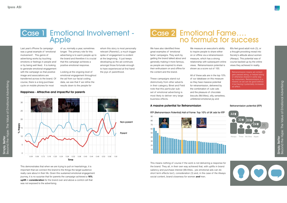



# Case 2 Emotional Fame.... no formula for success

## Case 1 Emotional Involvement - Case 2 Apple

We have also identified three great examples of 'emotional fame' campaigns. They work by getting the brand talked about and generally making it more famous, as people are inspired to share their enthusiasm on and offline for the content and the brand.

These campaigns stand out distinctively from other adverts in their category. Binet and Field note that this particular subset of emotional advertising is most likely to deliver very large business effects.

We measure an execution's ability to inspire people to share either on or offline via a retransmission measure, which has a strong relationship with subsequent online views. Retransmission potential is shown as a score out of 100.

All of these ads are in the top 10% of our database on this measure so they have massive potential for retransmission, delivered by the combination of cute cats and the pleasure of chocolate biscuits (McVities), silly, senseless, unfettered emotional joy and

80s feel good adult rock (3), or a thought provoking reveal into Society's attitude about women (Always). This potential was of course backed up by the online views they achieved in reality.

Last year's iPhone 5s campaign was a great example of 'emotional involvement'. This genre of advertising works by touching emotions or feelings in people and/ or by being well liked. It is looking to generate emotional engagement with the campaign so that positive image and associations are transferred across to the brand. Of course, there is a long purchase cycle on mobile phones for most

of us, normally a year, sometimes longer. The primary role for this advertising is to warm people up to the brand and therefore it is crucial that this campaign achieves a positive emotional response.

Looking at the ongoing level of emotional engagement throughout the ad from our facial coding data, we see that if we refine the results down to the people for

whom this story is most personally relevant (Parents!), a much bigger spike of engagement is evident at the beginning. It just keeps developing as the ad continues amongst those fortunate enough to have experienced at first hand the joys of parenthood.

This demonstrates that when we are trying to pull on heartstrings, it is important that we connect the brand to the things the target audience really care about in their life. Given this sustained emotional engagement journey, it is no surprise that for parents the campaign achieved a **16% uplift** in **consideration** for the brand over and above a control cell that was not exposed to the advertising.

This means nothing of course if the work is not delivering a response for the brand. They all, in their own way achieved that, with uplifts in brand saliency and purchase interest (McVities.. yes emotional ads can do short term effects too!), consideration (3) and, in the case of the Always social content, brand closeness for women *and* men.

Retransmission means ad content gets passed along, or helped along or otherwise shared in some way by consumers. Retransmission is a reward; an ad can be good without it but having it potentially increases ad affect.

#### A massive potential for Retransmission



RTP (Retransmisson Potential) Hall of Fame: Top 10% of UK ads for RTP

Retransmission potential (RTP)



### Happiness - Attractive and impactful for parents

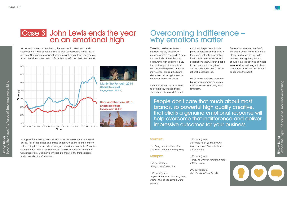



It means the work is more likely to be noticed, engaged with, shared and discussed. Beyond

These impressive responses highlight the key reason why emotions matter. People don't care that much about most brands, so powerful high quality creative, that elicits a genuine emotional response will help overcome that indifference. Making the brand distinctive, delivering impressive outcomes for your business.

# Overcoming Indifference – why emotions matter

that, it will help to emotionally prime people's relationships with the brand, naturally associating it with positive experiences and associations that will draw people to the brand in the long-term and actually make them open to rational messages too.

We all have short-term pressures, but we should remind ourselves that brands win when they think long-term.

So here's to an emotional 2015, but one in which we all have better clarity in what we are trying to achieve. Recognising that we should leave the defining of what's **emotional advertising** with those that matter most - the people who experience the work!

People don't care that much about most brands, so powerful high quality creative, that elicits a genuine emotional response will help overcome that indifference and deliver impressive outcomes for your business.

As the year came to a conclusion, the much anticipated John Lewis seasonal effort was 'seeded' online to great effect before hitting the TV screens. Our research showed they struck gold again this year, gleaning an emotional response that comfortably out-performed last year's effort.

### Sources:

*The Long and the Short of it: Les Binet and Peter Field (2013)* 

#### Sample:

*150 participants: Always: 16-30 year olds*

*150 participants: Apple: 16-64 year old smartphone users (34% of the sample were parents)*

## John Lewis ends the year on an emotional high Case 3

*150 participants: McVities: 16-64 year olds who have used sweet biscuits in the last 6 months*

*150 participants: Three: 18-30 year old high mobile internet users*

*212 participants: John Lewis: UK adults 18+*

It intrigues from the first second, and takes the viewer on an emotional journey full of happiness and smiles tinged with sadness and concern, before rising to a crescendo of feel-good emotions. Monty the Penguin's search for 'real love' gives licence for a child's imagination to run free with great effect, ultimately connecting to many of the things people really care about at Christmas.